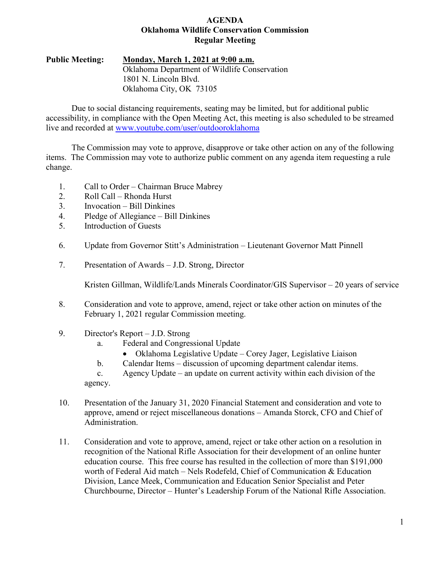### **AGENDA Oklahoma Wildlife Conservation Commission Regular Meeting**

### **Public Meeting: Monday, March 1, 2021 at 9:00 a.m.** Oklahoma Department of Wildlife Conservation 1801 N. Lincoln Blvd. Oklahoma City, OK 73105

Due to social distancing requirements, seating may be limited, but for additional public accessibility, in compliance with the Open Meeting Act, this meeting is also scheduled to be streamed live and recorded at [www.youtube.com/user/outdooroklahoma](http://www.youtube.com/user/outdooroklahoma)

The Commission may vote to approve, disapprove or take other action on any of the following items. The Commission may vote to authorize public comment on any agenda item requesting a rule change.

- 1. Call to Order Chairman Bruce Mabrey
- 2. Roll Call Rhonda Hurst
- 3. Invocation Bill Dinkines
- 4. Pledge of Allegiance Bill Dinkines
- 5. Introduction of Guests
- 6. Update from Governor Stitt's Administration Lieutenant Governor Matt Pinnell
- 7. Presentation of Awards J.D. Strong, Director

Kristen Gillman, Wildlife/Lands Minerals Coordinator/GIS Supervisor – 20 years of service

- 8. Consideration and vote to approve, amend, reject or take other action on minutes of the February 1, 2021 regular Commission meeting.
- 9. Director's Report J.D. Strong
	- a. Federal and Congressional Update
		- Oklahoma Legislative Update Corey Jager, Legislative Liaison
	- b. Calendar Items discussion of upcoming department calendar items.
	- c. Agency Update an update on current activity within each division of the agency.
- 10. Presentation of the January 31, 2020 Financial Statement and consideration and vote to approve, amend or reject miscellaneous donations – Amanda Storck, CFO and Chief of Administration.
- 11. Consideration and vote to approve, amend, reject or take other action on a resolution in recognition of the National Rifle Association for their development of an online hunter education course. This free course has resulted in the collection of more than \$191,000 worth of Federal Aid match – Nels Rodefeld, Chief of Communication & Education Division, Lance Meek, Communication and Education Senior Specialist and Peter Churchbourne, Director – Hunter's Leadership Forum of the National Rifle Association.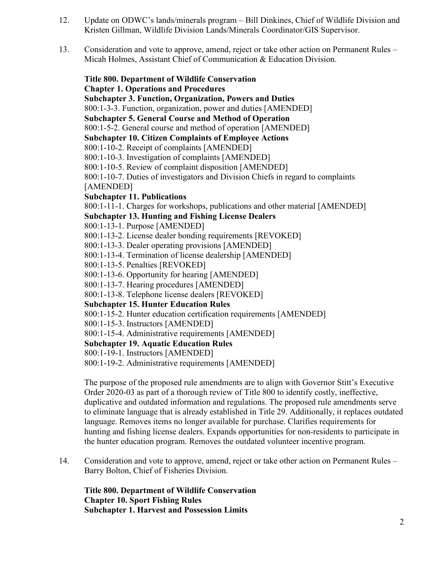- 12. Update on ODWC's lands/minerals program Bill Dinkines, Chief of Wildlife Division and Kristen Gillman, Wildlife Division Lands/Minerals Coordinator/GIS Supervisor.
- 13. Consideration and vote to approve, amend, reject or take other action on Permanent Rules Micah Holmes, Assistant Chief of Communication & Education Division.

**Title 800. Department of Wildlife Conservation Chapter 1. Operations and Procedures Subchapter 3. Function, Organization, Powers and Duties** 800:1-3-3. Function, organization, power and duties [AMENDED] **Subchapter 5. General Course and Method of Operation** 800:1-5-2. General course and method of operation [AMENDED] **Subchapter 10. Citizen Complaints of Employee Actions** 800:1-10-2. Receipt of complaints [AMENDED] 800:1-10-3. Investigation of complaints [AMENDED] 800:1-10-5. Review of complaint disposition [AMENDED] 800:1-10-7. Duties of investigators and Division Chiefs in regard to complaints [AMENDED] **Subchapter 11. Publications** 800:1-11-1. Charges for workshops, publications and other material [AMENDED] **Subchapter 13. Hunting and Fishing License Dealers** 800:1-13-1. Purpose [AMENDED] 800:1-13-2. License dealer bonding requirements [REVOKED] 800:1-13-3. Dealer operating provisions [AMENDED] 800:1-13-4. Termination of license dealership [AMENDED] 800:1-13-5. Penalties [REVOKED] 800:1-13-6. Opportunity for hearing [AMENDED] 800:1-13-7. Hearing procedures [AMENDED] 800:1-13-8. Telephone license dealers [REVOKED] **Subchapter 15. Hunter Education Rules** 800:1-15-2. Hunter education certification requirements [AMENDED] 800:1-15-3. Instructors [AMENDED] 800:1-15-4. Administrative requirements [AMENDED] **Subchapter 19. Aquatic Education Rules** 800:1-19-1. Instructors [AMENDED] 800:1-19-2. Administrative requirements [AMENDED]

The purpose of the proposed rule amendments are to align with Governor Stitt's Executive Order 2020-03 as part of a thorough review of Title 800 to identify costly, ineffective, duplicative and outdated information and regulations. The proposed rule amendments serve to eliminate language that is already established in Title 29. Additionally, it replaces outdated language. Removes items no longer available for purchase. Clarifies requirements for hunting and fishing license dealers. Expands opportunities for non-residents to participate in the hunter education program. Removes the outdated volunteer incentive program.

14. Consideration and vote to approve, amend, reject or take other action on Permanent Rules – Barry Bolton, Chief of Fisheries Division.

**Title 800. Department of Wildlife Conservation Chapter 10. Sport Fishing Rules Subchapter 1. Harvest and Possession Limits**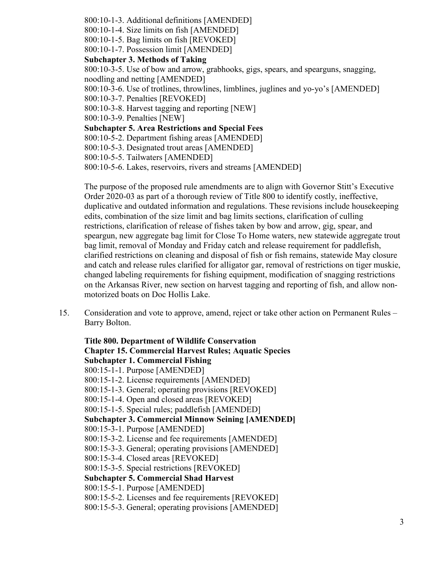- 800:10-1-3. Additional definitions [AMENDED]
- 800:10-1-4. Size limits on fish [AMENDED]
- 800:10-1-5. Bag limits on fish [REVOKED]
- 800:10-1-7. Possession limit [AMENDED]

### **Subchapter 3. Methods of Taking**

800:10-3-5. Use of bow and arrow, grabhooks, gigs, spears, and spearguns, snagging, noodling and netting [AMENDED]

800:10-3-6. Use of trotlines, throwlines, limblines, juglines and yo-yo's [AMENDED]

- 800:10-3-7. Penalties [REVOKED]
- 800:10-3-8. Harvest tagging and reporting [NEW]

800:10-3-9. Penalties [NEW]

**Subchapter 5. Area Restrictions and Special Fees**

800:10-5-2. Department fishing areas [AMENDED]

- 800:10-5-3. Designated trout areas [AMENDED]
- 800:10-5-5. Tailwaters [AMENDED]

800:10-5-6. Lakes, reservoirs, rivers and streams [AMENDED]

The purpose of the proposed rule amendments are to align with Governor Stitt's Executive Order 2020-03 as part of a thorough review of Title 800 to identify costly, ineffective, duplicative and outdated information and regulations. These revisions include housekeeping edits, combination of the size limit and bag limits sections, clarification of culling restrictions, clarification of release of fishes taken by bow and arrow, gig, spear, and speargun, new aggregate bag limit for Close To Home waters, new statewide aggregate trout bag limit, removal of Monday and Friday catch and release requirement for paddlefish, clarified restrictions on cleaning and disposal of fish or fish remains, statewide May closure and catch and release rules clarified for alligator gar, removal of restrictions on tiger muskie, changed labeling requirements for fishing equipment, modification of snagging restrictions on the Arkansas River, new section on harvest tagging and reporting of fish, and allow nonmotorized boats on Doc Hollis Lake.

15. Consideration and vote to approve, amend, reject or take other action on Permanent Rules – Barry Bolton.

**Title 800. Department of Wildlife Conservation Chapter 15. Commercial Harvest Rules; Aquatic Species Subchapter 1. Commercial Fishing** 800:15-1-1. Purpose [AMENDED] 800:15-1-2. License requirements [AMENDED] 800:15-1-3. General; operating provisions [REVOKED] 800:15-1-4. Open and closed areas [REVOKED] 800:15-1-5. Special rules; paddlefish [AMENDED] **Subchapter 3. Commercial Minnow Seining [AMENDED]** 800:15-3-1. Purpose [AMENDED] 800:15-3-2. License and fee requirements [AMENDED] 800:15-3-3. General; operating provisions [AMENDED] 800:15-3-4. Closed areas [REVOKED] 800:15-3-5. Special restrictions [REVOKED] **Subchapter 5. Commercial Shad Harvest** 800:15-5-1. Purpose [AMENDED] 800:15-5-2. Licenses and fee requirements [REVOKED] 800:15-5-3. General; operating provisions [AMENDED]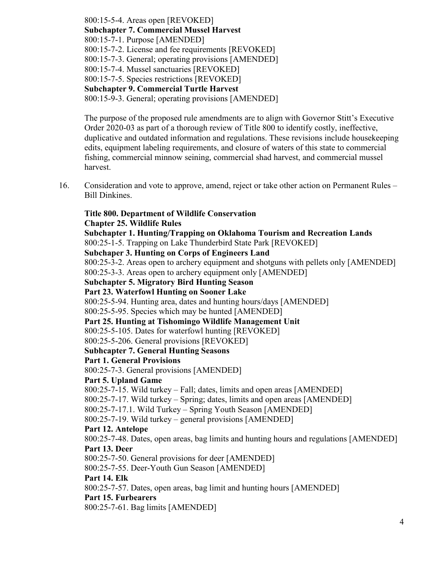800:15-5-4. Areas open [REVOKED] **Subchapter 7. Commercial Mussel Harvest** 800:15-7-1. Purpose [AMENDED] 800:15-7-2. License and fee requirements [REVOKED] 800:15-7-3. General; operating provisions [AMENDED] 800:15-7-4. Mussel sanctuaries [REVOKED] 800:15-7-5. Species restrictions [REVOKED] **Subchapter 9. Commercial Turtle Harvest** 800:15-9-3. General; operating provisions [AMENDED]

The purpose of the proposed rule amendments are to align with Governor Stitt's Executive Order 2020-03 as part of a thorough review of Title 800 to identify costly, ineffective, duplicative and outdated information and regulations. These revisions include housekeeping edits, equipment labeling requirements, and closure of waters of this state to commercial fishing, commercial minnow seining, commercial shad harvest, and commercial mussel harvest.

16. Consideration and vote to approve, amend, reject or take other action on Permanent Rules – Bill Dinkines.

### **Title 800. Department of Wildlife Conservation Chapter 25. Wildlife Rules**

**Subchapter 1. Hunting/Trapping on Oklahoma Tourism and Recreation Lands** 800:25-1-5. Trapping on Lake Thunderbird State Park [REVOKED] **Subchaper 3. Hunting on Corps of Engineers Land** 800:25-3-2. Areas open to archery equipment and shotguns with pellets only [AMENDED] 800:25-3-3. Areas open to archery equipment only [AMENDED] **Subchapter 5. Migratory Bird Hunting Season Part 23. Waterfowl Hunting on Sooner Lake** 800:25-5-94. Hunting area, dates and hunting hours/days [AMENDED] 800:25-5-95. Species which may be hunted [AMENDED] **Part 25. Hunting at Tishomingo Wildlife Management Unit** 800:25-5-105. Dates for waterfowl hunting [REVOKED] 800:25-5-206. General provisions [REVOKED] **Subhcapter 7. General Hunting Seasons Part 1. General Provisions** 800:25-7-3. General provisions [AMENDED] **Part 5. Upland Game** 800:25-7-15. Wild turkey – Fall; dates, limits and open areas [AMENDED] 800:25-7-17. Wild turkey – Spring; dates, limits and open areas [AMENDED] 800:25-7-17.1. Wild Turkey – Spring Youth Season [AMENDED] 800:25-7-19. Wild turkey – general provisions [AMENDED] **Part 12. Antelope** 800:25-7-48. Dates, open areas, bag limits and hunting hours and regulations [AMENDED] **Part 13. Deer** 800:25-7-50. General provisions for deer [AMENDED] 800:25-7-55. Deer-Youth Gun Season [AMENDED] **Part 14. Elk** 800:25-7-57. Dates, open areas, bag limit and hunting hours [AMENDED] **Part 15. Furbearers**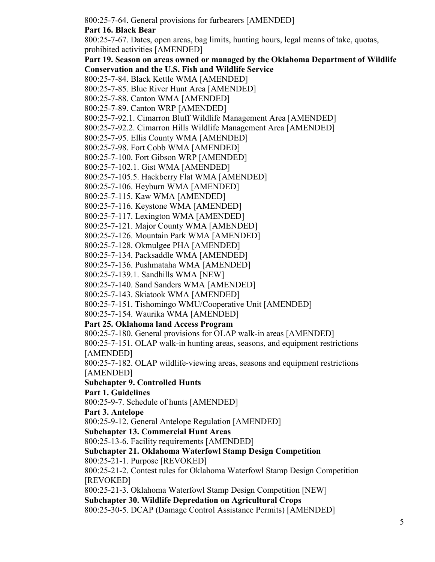800:25-7-64. General provisions for furbearers [AMENDED]

**Part 16. Black Bear**

800:25-7-67. Dates, open areas, bag limits, hunting hours, legal means of take, quotas, prohibited activities [AMENDED]

**Part 19. Season on areas owned or managed by the Oklahoma Department of Wildlife Conservation and the U.S. Fish and Wildlife Service**

- 800:25-7-84. Black Kettle WMA [AMENDED]
- 800:25-7-85. Blue River Hunt Area [AMENDED]
- 800:25-7-88. Canton WMA [AMENDED]
- 800:25-7-89. Canton WRP [AMENDED]

800:25-7-92.1. Cimarron Bluff Wildlife Management Area [AMENDED]

800:25-7-92.2. Cimarron Hills Wildlife Management Area [AMENDED]

800:25-7-95. Ellis County WMA [AMENDED]

800:25-7-98. Fort Cobb WMA [AMENDED]

800:25-7-100. Fort Gibson WRP [AMENDED]

800:25-7-102.1. Gist WMA [AMENDED]

800:25-7-105.5. Hackberry Flat WMA [AMENDED]

800:25-7-106. Heyburn WMA [AMENDED]

800:25-7-115. Kaw WMA [AMENDED]

800:25-7-116. Keystone WMA [AMENDED]

800:25-7-117. Lexington WMA [AMENDED]

800:25-7-121. Major County WMA [AMENDED]

800:25-7-126. Mountain Park WMA [AMENDED]

800:25-7-128. Okmulgee PHA [AMENDED]

800:25-7-134. Packsaddle WMA [AMENDED]

800:25-7-136. Pushmataha WMA [AMENDED]

800:25-7-139.1. Sandhills WMA [NEW]

800:25-7-140. Sand Sanders WMA [AMENDED]

800:25-7-143. Skiatook WMA [AMENDED]

800:25-7-151. Tishomingo WMU/Cooperative Unit [AMENDED]

800:25-7-154. Waurika WMA [AMENDED]

## **Part 25. Oklahoma land Access Program**

800:25-7-180. General provisions for OLAP walk-in areas [AMENDED]

800:25-7-151. OLAP walk-in hunting areas, seasons, and equipment restrictions [AMENDED]

800:25-7-182. OLAP wildlife-viewing areas, seasons and equipment restrictions [AMENDED]

## **Subchapter 9. Controlled Hunts**

**Part 1. Guidelines**

800:25-9-7. Schedule of hunts [AMENDED]

### **Part 3. Antelope**

800:25-9-12. General Antelope Regulation [AMENDED]

**Subchapter 13. Commercial Hunt Areas**

800:25-13-6. Facility requirements [AMENDED]

## **Subchapter 21. Oklahoma Waterfowl Stamp Design Competition**

800:25-21-1. Purpose [REVOKED]

800:25-21-2. Contest rules for Oklahoma Waterfowl Stamp Design Competition [REVOKED]

800:25-21-3. Oklahoma Waterfowl Stamp Design Competition [NEW]

**Subchapter 30. Wildlife Depredation on Agricultural Crops**

800:25-30-5. DCAP (Damage Control Assistance Permits) [AMENDED]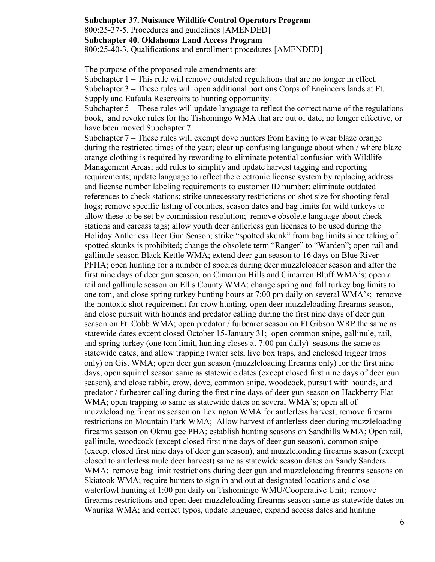### **Subchapter 37. Nuisance Wildlife Control Operators Program** 800:25-37-5. Procedures and guidelines [AMENDED] **Subchapter 40. Oklahoma Land Access Program** 800:25-40-3. Qualifications and enrollment procedures [AMENDED]

The purpose of the proposed rule amendments are:

Subchapter 1 – This rule will remove outdated regulations that are no longer in effect.

Subchapter 3 – These rules will open additional portions Corps of Engineers lands at Ft.

Supply and Eufaula Reservoirs to hunting opportunity.

Subchapter 5 – These rules will update language to reflect the correct name of the regulations book, and revoke rules for the Tishomingo WMA that are out of date, no longer effective, or have been moved Subchapter 7.

Subchapter 7 – These rules will exempt dove hunters from having to wear blaze orange during the restricted times of the year; clear up confusing language about when / where blaze orange clothing is required by rewording to eliminate potential confusion with Wildlife Management Areas; add rules to simplify and update harvest tagging and reporting requirements; update language to reflect the electronic license system by replacing address and license number labeling requirements to customer ID number; eliminate outdated references to check stations; strike unnecessary restrictions on shot size for shooting feral hogs; remove specific listing of counties, season dates and bag limits for wild turkeys to allow these to be set by commission resolution; remove obsolete language about check stations and carcass tags; allow youth deer antlerless gun licenses to be used during the Holiday Antlerless Deer Gun Season; strike "spotted skunk" from bag limits since taking of spotted skunks is prohibited; change the obsolete term "Ranger" to "Warden"; open rail and gallinule season Black Kettle WMA; extend deer gun season to 16 days on Blue River PFHA; open hunting for a number of species during deer muzzleloader season and after the first nine days of deer gun season, on Cimarron Hills and Cimarron Bluff WMA's; open a rail and gallinule season on Ellis County WMA; change spring and fall turkey bag limits to one tom, and close spring turkey hunting hours at 7:00 pm daily on several WMA's; remove the nontoxic shot requirement for crow hunting, open deer muzzleloading firearms season, and close pursuit with hounds and predator calling during the first nine days of deer gun season on Ft. Cobb WMA; open predator / furbearer season on Ft Gibson WRP the same as statewide dates except closed October 15-January 31; open common snipe, gallinule, rail, and spring turkey (one tom limit, hunting closes at 7:00 pm daily) seasons the same as statewide dates, and allow trapping (water sets, live box traps, and enclosed trigger traps only) on Gist WMA; open deer gun season (muzzleloading firearms only) for the first nine days, open squirrel season same as statewide dates (except closed first nine days of deer gun season), and close rabbit, crow, dove, common snipe, woodcock, pursuit with hounds, and predator / furbearer calling during the first nine days of deer gun season on Hackberry Flat WMA; open trapping to same as statewide dates on several WMA's; open all of muzzleloading firearms season on Lexington WMA for antlerless harvest; remove firearm restrictions on Mountain Park WMA; Allow harvest of antlerless deer during muzzleloading firearms season on Okmulgee PHA; establish hunting seasons on Sandhills WMA; Open rail, gallinule, woodcock (except closed first nine days of deer gun season), common snipe (except closed first nine days of deer gun season), and muzzleloading firearms season (except closed to antlerless mule deer harvest) same as statewide season dates on Sandy Sanders WMA; remove bag limit restrictions during deer gun and muzzleloading firearms seasons on Skiatook WMA; require hunters to sign in and out at designated locations and close waterfowl hunting at 1:00 pm daily on Tishomingo WMU/Cooperative Unit; remove firearms restrictions and open deer muzzleloading firearms season same as statewide dates on Waurika WMA; and correct typos, update language, expand access dates and hunting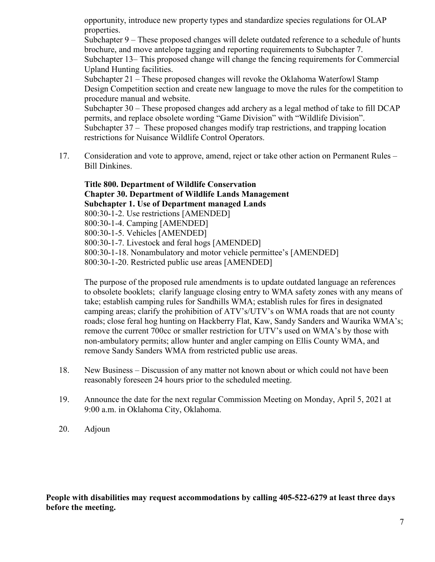opportunity, introduce new property types and standardize species regulations for OLAP properties.

Subchapter 9 – These proposed changes will delete outdated reference to a schedule of hunts brochure, and move antelope tagging and reporting requirements to Subchapter 7.

Subchapter 13– This proposed change will change the fencing requirements for Commercial Upland Hunting facilities.

Subchapter 21 – These proposed changes will revoke the Oklahoma Waterfowl Stamp Design Competition section and create new language to move the rules for the competition to procedure manual and website.

Subchapter 30 – These proposed changes add archery as a legal method of take to fill DCAP permits, and replace obsolete wording "Game Division" with "Wildlife Division". Subchapter 37 – These proposed changes modify trap restrictions, and trapping location restrictions for Nuisance Wildlife Control Operators.

17. Consideration and vote to approve, amend, reject or take other action on Permanent Rules – Bill Dinkines.

**Title 800. Department of Wildlife Conservation Chapter 30. Department of Wildlife Lands Management Subchapter 1. Use of Department managed Lands** 800:30-1-2. Use restrictions [AMENDED] 800:30-1-4. Camping [AMENDED] 800:30-1-5. Vehicles [AMENDED] 800:30-1-7. Livestock and feral hogs [AMENDED] 800:30-1-18. Nonambulatory and motor vehicle permittee's [AMENDED] 800:30-1-20. Restricted public use areas [AMENDED]

The purpose of the proposed rule amendments is to update outdated language an references to obsolete booklets; clarify language closing entry to WMA safety zones with any means of take; establish camping rules for Sandhills WMA; establish rules for fires in designated camping areas; clarify the prohibition of ATV's/UTV's on WMA roads that are not county roads; close feral hog hunting on Hackberry Flat, Kaw, Sandy Sanders and Waurika WMA's; remove the current 700cc or smaller restriction for UTV's used on WMA's by those with non-ambulatory permits; allow hunter and angler camping on Ellis County WMA, and remove Sandy Sanders WMA from restricted public use areas.

- 18. New Business Discussion of any matter not known about or which could not have been reasonably foreseen 24 hours prior to the scheduled meeting.
- 19. Announce the date for the next regular Commission Meeting on Monday, April 5, 2021 at 9:00 a.m. in Oklahoma City, Oklahoma.
- 20. Adjoun

**People with disabilities may request accommodations by calling 405-522-6279 at least three days before the meeting.**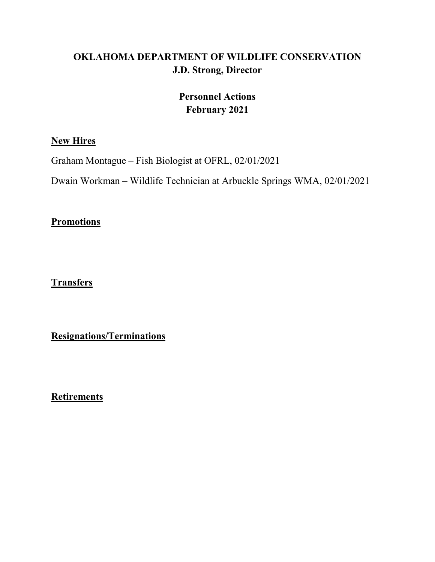## **OKLAHOMA DEPARTMENT OF WILDLIFE CONSERVATION J.D. Strong, Director**

## **Personnel Actions February 2021**

## **New Hires**

Graham Montague – Fish Biologist at OFRL, 02/01/2021

Dwain Workman – Wildlife Technician at Arbuckle Springs WMA, 02/01/2021

## **Promotions**

## **Transfers**

**Resignations/Terminations**

**Retirements**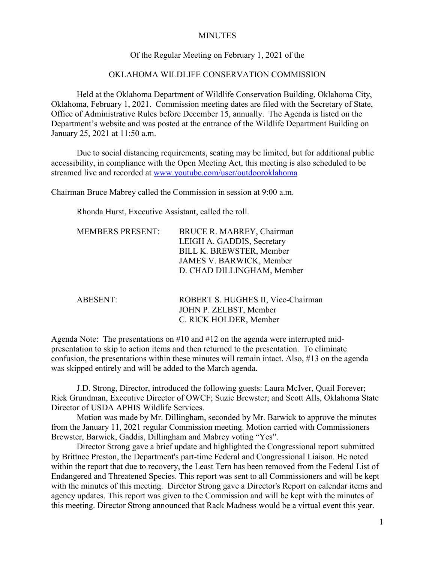### **MINUTES**

### Of the Regular Meeting on February 1, 2021 of the

### OKLAHOMA WILDLIFE CONSERVATION COMMISSION

Held at the Oklahoma Department of Wildlife Conservation Building, Oklahoma City, Oklahoma, February 1, 2021. Commission meeting dates are filed with the Secretary of State, Office of Administrative Rules before December 15, annually. The Agenda is listed on the Department's website and was posted at the entrance of the Wildlife Department Building on January 25, 2021 at 11:50 a.m.

Due to social distancing requirements, seating may be limited, but for additional public accessibility, in compliance with the Open Meeting Act, this meeting is also scheduled to be streamed live and recorded at [www.youtube.com/user/outdooroklahoma](http://www.youtube.com/user/outdooroklahoma)

Chairman Bruce Mabrey called the Commission in session at 9:00 a.m.

Rhonda Hurst, Executive Assistant, called the roll.

| <b>MEMBERS PRESENT:</b> | BRUCE R. MABREY, Chairman       |
|-------------------------|---------------------------------|
|                         | LEIGH A. GADDIS, Secretary      |
|                         | <b>BILL K. BREWSTER, Member</b> |
|                         | JAMES V. BARWICK, Member        |
|                         | D. CHAD DILLINGHAM, Member      |
|                         |                                 |

| ABESENT: | ROBERT S. HUGHES II, Vice-Chairman |
|----------|------------------------------------|
|          | JOHN P. ZELBST, Member             |
|          | C. RICK HOLDER, Member             |

Agenda Note: The presentations on #10 and #12 on the agenda were interrupted midpresentation to skip to action items and then returned to the presentation. To eliminate confusion, the presentations within these minutes will remain intact. Also, #13 on the agenda was skipped entirely and will be added to the March agenda.

J.D. Strong, Director, introduced the following guests: Laura McIver, Quail Forever; Rick Grundman, Executive Director of OWCF; Suzie Brewster; and Scott Alls, Oklahoma State Director of USDA APHIS Wildlife Services.

Motion was made by Mr. Dillingham, seconded by Mr. Barwick to approve the minutes from the January 11, 2021 regular Commission meeting. Motion carried with Commissioners Brewster, Barwick, Gaddis, Dillingham and Mabrey voting "Yes".

Director Strong gave a brief update and highlighted the Congressional report submitted by Brittnee Preston, the Department's part-time Federal and Congressional Liaison. He noted within the report that due to recovery, the Least Tern has been removed from the Federal List of Endangered and Threatened Species. This report was sent to all Commissioners and will be kept with the minutes of this meeting. Director Strong gave a Director's Report on calendar items and agency updates. This report was given to the Commission and will be kept with the minutes of this meeting. Director Strong announced that Rack Madness would be a virtual event this year.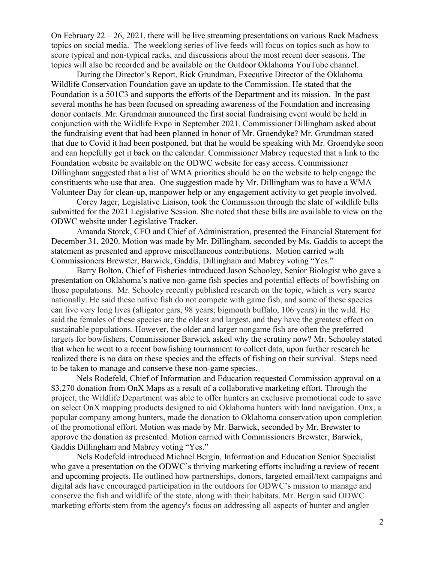On February 22 – 26, 2021, there will be live streaming presentations on various Rack Madness topics on social media. The weeklong series of live feeds will focus on topics such as how to score typical and non-typical racks, and discussions about the most recent deer seasons. The topics will also be recorded and be available on the Outdoor Oklahoma YouTube channel.

During the Director's Report, Rick Grundman, Executive Director of the Oklahoma Wildlife Conservation Foundation gave an update to the Commission. He stated that the Foundation is a 501C3 and supports the efforts of the Department and its mission. In the past several months he has been focused on spreading awareness of the Foundation and increasing donor contacts. Mr. Grundman announced the first social fundraising event would be held in conjunction with the Wildlife Expo in September 2021. Commissioner Dillingham asked about the fundraising event that had been planned in honor of Mr. Groendyke? Mr. Grundman stated that due to Covid it had been postponed, but that he would be speaking with Mr. Groendyke soon and can hopefully get it back on the calendar. Commissioner Mabrey requested that a link to the Foundation website be available on the ODWC website for easy access. Commissioner Dillingham suggested that a list of WMA priorities should be on the website to help engage the constituents who use that area. One suggestion made by Mr. Dillingham was to have a WMA Volunteer Day for clean-up, manpower help or any engagement activity to get people involved.

Corey Jager, Legislative Liaison, took the Commission through the slate of wildlife bills submitted for the 2021 Legislative Session. She noted that these bills are available to view on the ODWC website under Legislative Tracker.

Amanda Storck, CFO and Chief of Administration, presented the Financial Statement for December 31, 2020. Motion was made by Mr. Dillingham, seconded by Ms. Gaddis to accept the statement as presented and approve miscellaneous contributions. Motion carried with Commissioners Brewster, Barwick, Gaddis, Dillingham and Mabrey voting "Yes."

Barry Bolton, Chief of Fisheries introduced Jason Schooley, Senior Biologist who gave a presentation on Oklahoma's native non-game fish species and potential effects of bowfishing on those populations. Mr. Schooley recently published research on the topic, which is very scarce nationally. He said these native fish do not compete with game fish, and some of these species can live very long lives (alligator gars, 98 years; bigmouth buffalo, 106 years) in the wild. He said the females of these species are the oldest and largest, and they have the greatest effect on sustainable populations. However, the older and larger nongame fish are often the preferred targets for bowfishers. Commissioner Barwick asked why the scrutiny now? Mr. Schooley stated that when he went to a recent bowfishing tournament to collect data, upon further research he realized there is no data on these species and the effects of fishing on their survival. Steps need to be taken to manage and conserve these non-game species.

Nels Rodefeld, Chief of Information and Education requested Commission approval on a \$3,270 donation from OnX Maps as a result of a collaborative marketing effort. Through the project, the Wildlife Department was able to offer hunters an exclusive promotional code to save on select OnX mapping products designed to aid Oklahoma hunters with land navigation. Onx, a popular company among hunters, made the donation to Oklahoma conservation upon completion of the promotional effort. Motion was made by Mr. Barwick, seconded by Mr. Brewster to approve the donation as presented. Motion carried with Commissioners Brewster, Barwick, Gaddis Dillingham and Mabrey voting "Yes."

Nels Rodefeld introduced Michael Bergin, Information and Education Senior Specialist who gave a presentation on the ODWC's thriving marketing efforts including a review of recent and upcoming projects. He outlined how partnerships, donors, targeted email/text campaigns and digital ads have encouraged participation in the outdoors for ODWC's mission to manage and conserve the fish and wildlife of the state, along with their habitats. Mr. Bergin said ODWC marketing efforts stem from the agency's focus on addressing all aspects of hunter and angler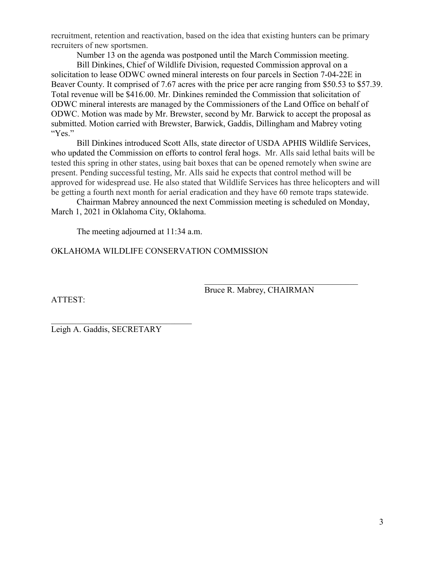recruitment, retention and reactivation, based on the idea that existing hunters can be primary recruiters of new sportsmen.

Number 13 on the agenda was postponed until the March Commission meeting.

Bill Dinkines, Chief of Wildlife Division, requested Commission approval on a solicitation to lease ODWC owned mineral interests on four parcels in Section 7-04-22E in Beaver County. It comprised of 7.67 acres with the price per acre ranging from \$50.53 to \$57.39. Total revenue will be \$416.00. Mr. Dinkines reminded the Commission that solicitation of ODWC mineral interests are managed by the Commissioners of the Land Office on behalf of ODWC. Motion was made by Mr. Brewster, second by Mr. Barwick to accept the proposal as submitted. Motion carried with Brewster, Barwick, Gaddis, Dillingham and Mabrey voting "Yes."

Bill Dinkines introduced Scott Alls, state director of USDA APHIS Wildlife Services, who updated the Commission on efforts to control feral hogs. Mr. Alls said lethal baits will be tested this spring in other states, using bait boxes that can be opened remotely when swine are present. Pending successful testing, Mr. Alls said he expects that control method will be approved for widespread use. He also stated that Wildlife Services has three helicopters and will be getting a fourth next month for aerial eradication and they have 60 remote traps statewide.

Chairman Mabrey announced the next Commission meeting is scheduled on Monday, March 1, 2021 in Oklahoma City, Oklahoma.

The meeting adjourned at 11:34 a.m.

OKLAHOMA WILDLIFE CONSERVATION COMMISSION

ATTEST:

Bruce R. Mabrey, CHAIRMAN

 $\mathcal{L}_\mathcal{L}$ 

Leigh A. Gaddis, SECRETARY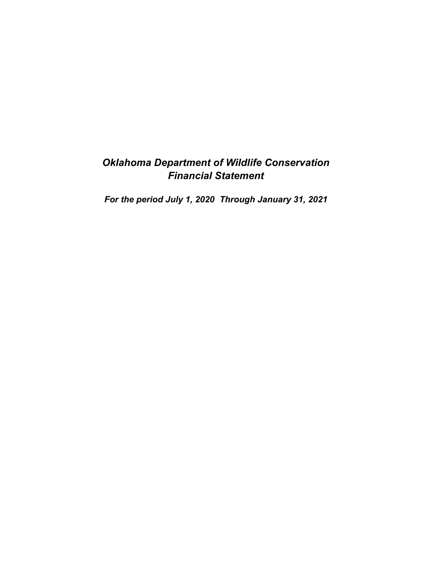## *Oklahoma Department of Wildlife Conservation Financial Statement*

*For the period July 1, 2020 Through January 31, 2021*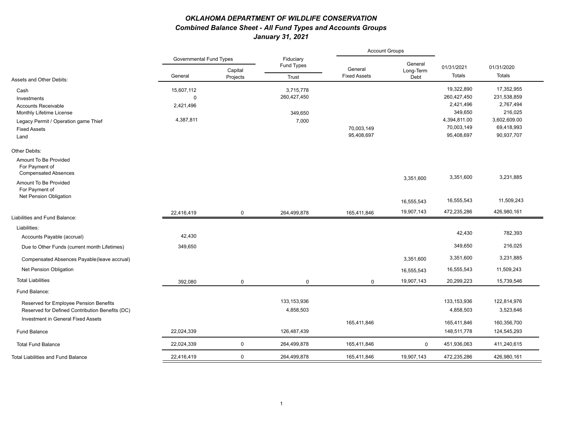### *OKLAHOMA DEPARTMENT OF WILDLIFE CONSERVATION Combined Balance Sheet - All Fund Types and Accounts Groups January 31, 2021*

|                                                                        |                                |                     |                         | <b>Account Groups</b>          |                   |              |              |  |
|------------------------------------------------------------------------|--------------------------------|---------------------|-------------------------|--------------------------------|-------------------|--------------|--------------|--|
|                                                                        | <b>Governmental Fund Types</b> |                     | Fiduciary<br>Fund Types |                                | General           | 01/31/2021   | 01/31/2020   |  |
| Assets and Other Debits:                                               | General                        | Capital<br>Projects | Trust                   | General<br><b>Fixed Assets</b> | Long-Term<br>Debt | Totals       | Totals       |  |
| Cash                                                                   | 15,607,112                     |                     | 3,715,778               |                                |                   | 19,322,890   | 17,352,955   |  |
| Investments                                                            | $\mathbf 0$                    |                     | 260,427,450             |                                |                   | 260,427,450  | 231,538,859  |  |
| <b>Accounts Receivable</b>                                             | 2,421,496                      |                     |                         |                                |                   | 2,421,496    | 2,767,494    |  |
| Monthly Lifetime License                                               |                                |                     | 349,650                 |                                |                   | 349,650      | 216,025      |  |
| Legacy Permit / Operation game Thief                                   | 4,387,811                      |                     | 7,000                   |                                |                   | 4,394,811.00 | 3,602,609.00 |  |
| <b>Fixed Assets</b>                                                    |                                |                     |                         | 70,003,149                     |                   | 70,003,149   | 69,418,993   |  |
| Land                                                                   |                                |                     |                         | 95,408,697                     |                   | 95,408,697   | 90,937,707   |  |
| Other Debits:                                                          |                                |                     |                         |                                |                   |              |              |  |
| Amount To Be Provided<br>For Payment of<br><b>Compensated Absences</b> |                                |                     |                         |                                |                   |              |              |  |
| Amount To Be Provided<br>For Payment of                                |                                |                     |                         |                                | 3,351,600         | 3,351,600    | 3,231,885    |  |
| Net Pension Obligation                                                 |                                |                     |                         |                                | 16,555,543        | 16,555,543   | 11,509,243   |  |
| Liabilities and Fund Balance:                                          | 22,416,419                     | $\mathbf 0$         | 264,499,878             | 165,411,846                    | 19,907,143        | 472,235,286  | 426,980,161  |  |
|                                                                        |                                |                     |                         |                                |                   |              |              |  |
| Liabilities:                                                           |                                |                     |                         |                                |                   | 42,430       | 782,393      |  |
| Accounts Payable (accrual)                                             | 42,430                         |                     |                         |                                |                   |              |              |  |
| Due to Other Funds (current month Lifetimes)                           | 349,650                        |                     |                         |                                |                   | 349,650      | 216,025      |  |
| Compensated Absences Payable (leave accrual)                           |                                |                     |                         |                                | 3,351,600         | 3,351,600    | 3,231,885    |  |
| Net Pension Obligation                                                 |                                |                     |                         |                                | 16,555,543        | 16,555,543   | 11,509,243   |  |
| <b>Total Liabilities</b>                                               | 392,080                        | $\mathbf 0$         | $\mathbf 0$             | $\mathbf 0$                    | 19,907,143        | 20,299,223   | 15,739,546   |  |
| Fund Balance:                                                          |                                |                     |                         |                                |                   |              |              |  |
| Reserved for Employee Pension Benefits                                 |                                |                     | 133, 153, 936           |                                |                   | 133,153,936  | 122,814,976  |  |
| Reserved for Defined Contribution Benefits (DC)                        |                                |                     | 4,858,503               |                                |                   | 4,858,503    | 3,523,646    |  |
| Investment in General Fixed Assets                                     |                                |                     |                         | 165,411,846                    |                   | 165,411,846  | 160,356,700  |  |
| <b>Fund Balance</b>                                                    | 22,024,339                     |                     | 126,487,439             |                                |                   | 148,511,778  | 124,545,293  |  |
| <b>Total Fund Balance</b>                                              | 22,024,339                     | $\mathbf 0$         | 264,499,878             | 165,411,846                    | $\mathbf 0$       | 451,936,063  | 411,240,615  |  |
| <b>Total Liabilities and Fund Balance</b>                              | 22,416,419                     | $\mathbf 0$         | 264,499,878             | 165,411,846                    | 19,907,143        | 472,235,286  | 426,980,161  |  |
|                                                                        |                                |                     |                         |                                |                   |              |              |  |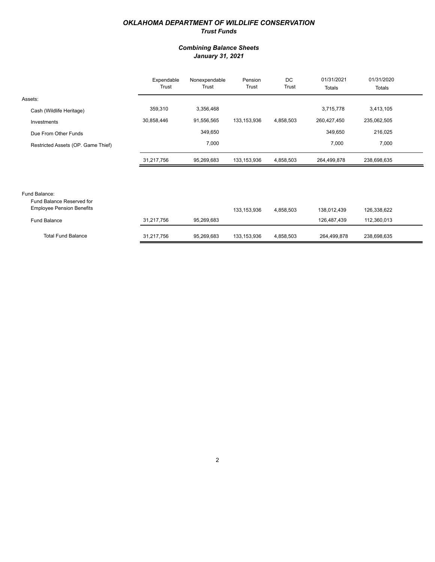### *OKLAHOMA DEPARTMENT OF WILDLIFE CONSERVATION Trust Funds*

### *Combining Balance Sheets January 31, 2021*

|                                                               | Expendable<br>Trust | Nonexpendable<br>Trust | Pension<br>Trust | DC<br>Trust | 01/31/2021<br>Totals | 01/31/2020<br>Totals |  |
|---------------------------------------------------------------|---------------------|------------------------|------------------|-------------|----------------------|----------------------|--|
| Assets:                                                       |                     |                        |                  |             |                      |                      |  |
| Cash (Wildlife Heritage)                                      | 359,310             | 3,356,468              |                  |             | 3,715,778            | 3,413,105            |  |
| Investments                                                   | 30,858,446          | 91,556,565             | 133,153,936      | 4,858,503   | 260,427,450          | 235,062,505          |  |
| Due From Other Funds                                          |                     | 349,650                |                  |             | 349,650              | 216,025              |  |
| Restricted Assets (OP. Game Thief)                            |                     | 7,000                  |                  |             | 7,000                | 7,000                |  |
|                                                               | 31,217,756          | 95,269,683             | 133, 153, 936    | 4,858,503   | 264,499,878          | 238,698,635          |  |
|                                                               |                     |                        |                  |             |                      |                      |  |
| Fund Balance:                                                 |                     |                        |                  |             |                      |                      |  |
| Fund Balance Reserved for<br><b>Employee Pension Benefits</b> |                     |                        | 133, 153, 936    | 4,858,503   | 138,012,439          | 126,338,622          |  |
| <b>Eund Ralance</b>                                           | 31 217 756          | 95 269 683             |                  |             | 126 487 439          | 112 360 013          |  |

| <b>Fund Balance</b> | 31.217.756 | 95.269.683 |             |           | 126.487.439 | 112.360.013 |
|---------------------|------------|------------|-------------|-----------|-------------|-------------|
| Total Fund Balance  | 31.217.756 | 95.269.683 | 133.153.936 | 4.858.503 | 264.499.878 | 238,698,635 |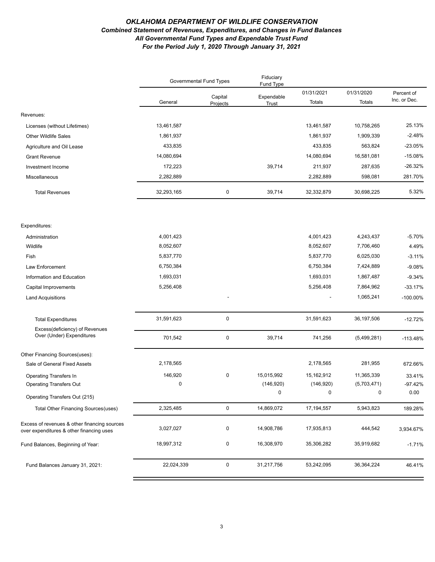#### *OKLAHOMA DEPARTMENT OF WILDLIFE CONSERVATION Combined Statement of Revenues, Expenditures, and Changes in Fund Balances All Governmental Fund Types and Expendable Trust Fund For the Period July 1, 2020 Through January 31, 2021*

|                                                                                          | <b>Governmental Fund Types</b> |                     | Fiduciary<br>Fund Type |                      |                      |                            |
|------------------------------------------------------------------------------------------|--------------------------------|---------------------|------------------------|----------------------|----------------------|----------------------------|
|                                                                                          | General                        | Capital<br>Projects | Expendable<br>Trust    | 01/31/2021<br>Totals | 01/31/2020<br>Totals | Percent of<br>Inc. or Dec. |
| Revenues:                                                                                |                                |                     |                        |                      |                      |                            |
| Licenses (without Lifetimes)                                                             | 13,461,587                     |                     |                        | 13,461,587           | 10,758,265           | 25.13%                     |
| <b>Other Wildlife Sales</b>                                                              | 1,861,937                      |                     |                        | 1,861,937            | 1,909,339            | $-2.48%$                   |
| Agriculture and Oil Lease                                                                | 433,835                        |                     |                        | 433,835              | 563,824              | $-23.05%$                  |
| <b>Grant Revenue</b>                                                                     | 14,080,694                     |                     |                        | 14,080,694           | 16,581,081           | $-15.08%$                  |
| Investment Income                                                                        | 172,223                        |                     | 39,714                 | 211,937              | 287,635              | $-26.32%$                  |
| Miscellaneous                                                                            | 2,282,889                      |                     |                        | 2,282,889            | 598,081              | 281.70%                    |
| <b>Total Revenues</b>                                                                    | 32,293,165                     | $\pmb{0}$           | 39,714                 | 32,332,879           | 30,698,225           | 5.32%                      |
| Expenditures:                                                                            |                                |                     |                        |                      |                      |                            |
| Administration                                                                           | 4,001,423                      |                     |                        | 4,001,423            | 4,243,437            | $-5.70%$                   |
| Wildlife                                                                                 | 8,052,607                      |                     |                        | 8,052,607            | 7,706,460            | 4.49%                      |
| Fish                                                                                     | 5,837,770                      |                     |                        | 5,837,770            | 6,025,030            | $-3.11%$                   |
| Law Enforcement                                                                          | 6,750,384                      |                     |                        | 6,750,384            | 7,424,889            | $-9.08%$                   |
| Information and Education                                                                | 1,693,031                      |                     |                        | 1,693,031            | 1,867,487            | $-9.34%$                   |
| Capital Improvements                                                                     | 5,256,408                      |                     |                        | 5,256,408            | 7,864,962            | $-33.17%$                  |
| <b>Land Acquisitions</b>                                                                 |                                |                     |                        |                      | 1,065,241            | $-100.00\%$                |
|                                                                                          |                                |                     |                        |                      |                      |                            |
| <b>Total Expenditures</b>                                                                | 31,591,623                     | $\pmb{0}$           |                        | 31,591,623           | 36,197,506           | $-12.72%$                  |
| Excess(deficiency) of Revenues<br>Over (Under) Expenditures                              | 701,542                        | $\pmb{0}$           | 39,714                 | 741,256              | (5,499,281)          | $-113.48%$                 |
| Other Financing Sources(uses):                                                           |                                |                     |                        |                      |                      |                            |
| Sale of General Fixed Assets                                                             | 2,178,565                      |                     |                        | 2,178,565            | 281,955              | 672.66%                    |
| Operating Transfers In                                                                   | 146,920                        | $\pmb{0}$           | 15,015,992             | 15,162,912           | 11,365,339           | 33.41%                     |
| <b>Operating Transfers Out</b>                                                           | $\mathbf 0$                    |                     | (146, 920)             | (146, 920)           | (5,703,471)          | $-97.42%$                  |
| Operating Transfers Out (215)                                                            |                                |                     | $\Omega$               | $\Omega$             | $\Omega$             | 0.00                       |
| <b>Total Other Financing Sources (uses)</b>                                              | 2,325,485                      | $\mathbf 0$         | 14,869,072             | 17, 194, 557         | 5,943,823            | 189.28%                    |
| Excess of revenues & other financing sources<br>over expenditures & other financing uses | 3,027,027                      | 0                   | 14,908,786             | 17,935,813           | 444,542              | 3,934.67%                  |
| Fund Balances, Beginning of Year:                                                        | 18,997,312                     | 0                   | 16,308,970             | 35,306,282           | 35,919,682           | $-1.71%$                   |
| Fund Balances January 31, 2021:                                                          | 22,024,339                     | $\mathsf{O}$        | 31,217,756             | 53,242,095           | 36,364,224           | 46.41%                     |
|                                                                                          |                                |                     |                        |                      |                      |                            |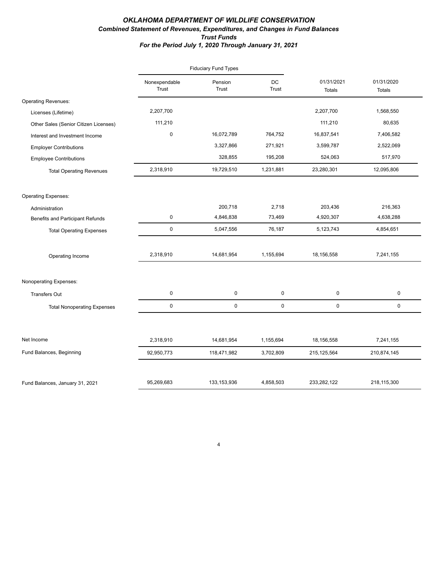### *OKLAHOMA DEPARTMENT OF WILDLIFE CONSERVATION Combined Statement of Revenues, Expenditures, and Changes in Fund Balances Trust Funds For the Period July 1, 2020 Through January 31, 2021*

|                                         |                        | <b>Fiduciary Fund Types</b> |             |                      |                             |
|-----------------------------------------|------------------------|-----------------------------|-------------|----------------------|-----------------------------|
|                                         | Nonexpendable<br>Trust | Pension<br>Trust            | DC<br>Trust | 01/31/2021<br>Totals | 01/31/2020<br><b>Totals</b> |
| <b>Operating Revenues:</b>              |                        |                             |             |                      |                             |
| Licenses (Lifetime)                     | 2,207,700              |                             |             | 2,207,700            | 1,568,550                   |
| Other Sales (Senior Citizen Licenses)   | 111,210                |                             |             | 111,210              | 80,635                      |
| Interest and Investment Income          | $\mathbf 0$            | 16,072,789                  | 764,752     | 16,837,541           | 7,406,582                   |
| <b>Employer Contributions</b>           |                        | 3,327,866                   | 271,921     | 3,599,787            | 2,522,069                   |
| <b>Employee Contributions</b>           |                        | 328,855                     | 195,208     | 524,063              | 517,970                     |
| <b>Total Operating Revenues</b>         | 2,318,910              | 19,729,510                  | 1,231,881   | 23,280,301           | 12,095,806                  |
| <b>Operating Expenses:</b>              |                        |                             |             |                      |                             |
| Administration                          |                        | 200,718                     | 2,718       | 203,436              | 216,363                     |
| <b>Benefits and Participant Refunds</b> | $\pmb{0}$              | 4,846,838                   | 73,469      | 4,920,307            | 4,638,288                   |
| <b>Total Operating Expenses</b>         | $\mathsf 0$            | 5,047,556                   | 76,187      | 5,123,743            | 4,854,651                   |
| Operating Income                        | 2,318,910              | 14,681,954                  | 1,155,694   | 18,156,558           | 7,241,155                   |
| Nonoperating Expenses:                  |                        |                             |             |                      |                             |
| <b>Transfers Out</b>                    | $\pmb{0}$              | 0                           | 0           | $\pmb{0}$            | 0                           |
| <b>Total Nonoperating Expenses</b>      | $\mathsf 0$            | $\mathsf 0$                 | 0           | 0                    | 0                           |
|                                         |                        |                             |             |                      |                             |
| Net Income                              | 2,318,910              | 14,681,954                  | 1,155,694   | 18,156,558           | 7,241,155                   |
| Fund Balances, Beginning                | 92,950,773             | 118,471,982                 | 3,702,809   | 215, 125, 564        | 210,874,145                 |
| Fund Balances, January 31, 2021         | 95,269,683             | 133, 153, 936               | 4,858,503   | 233,282,122          | 218,115,300                 |

4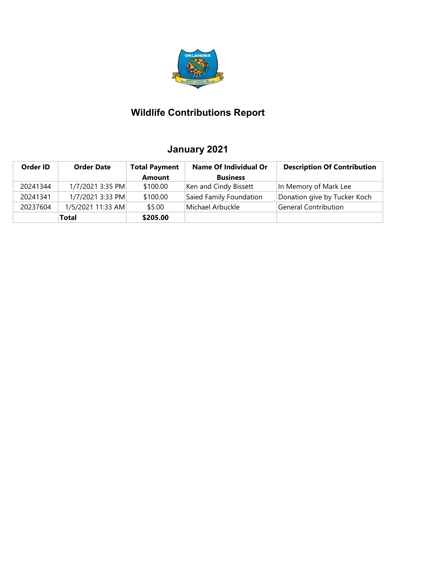

# **Wildlife Contributions Report**

## **January 2021**

| Order ID | <b>Order Date</b> | <b>Total Payment</b> | <b>Name Of Individual Or</b> | <b>Description Of Contribution</b> |
|----------|-------------------|----------------------|------------------------------|------------------------------------|
|          |                   | Amount               | <b>Business</b>              |                                    |
| 20241344 | 1/7/2021 3:35 PM  | \$100.00             | Ken and Cindy Bissett        | In Memory of Mark Lee              |
| 20241341 | 1/7/2021 3:33 PM  | \$100.00             | Saied Family Foundation      | Donation give by Tucker Koch       |
| 20237604 | 1/5/2021 11:33 AM | \$5.00               | Michael Arbuckle             | General Contribution               |
|          | <b>Total</b>      | \$205.00             |                              |                                    |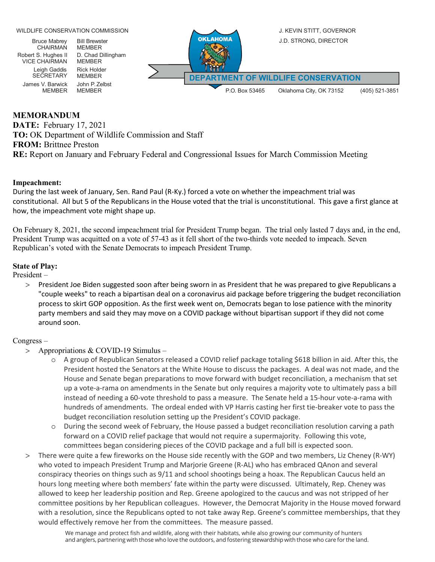

### **MEMORANDUM**

**DATE:** February 17, 2021 **TO:** OK Department of Wildlife Commission and Staff **FROM:** Brittnee Preston **RE:** Report on January and February Federal and Congressional Issues for March Commission Meeting

### **Impeachment:**

During the last week of January, Sen. Rand Paul (R-Ky.) forced a vote on whether the impeachment trial was constitutional. All but 5 of the Republicans in the House voted that the trial is unconstitutional. This gave a first glance at how, the impeachment vote might shape up.

On February 8, 2021, the second impeachment trial for President Trump began. The trial only lasted 7 days and, in the end, President Trump was acquitted on a vote of 57-43 as it fell short of the two-thirds vote needed to impeach. Seven Republican's voted with the Senate Democrats to impeach President Trump.

### **State of Play:**

President –

> President Joe Biden suggested soon after being sworn in as President that he was prepared to give Republicans a "couple weeks" to reach a bipartisan deal on a coronavirus aid package before triggering the budget reconciliation process to skirt GOP opposition. As the first week went on, Democrats began to lose patience with the minority party members and said they may move on a COVID package without bipartisan support if they did not come around soon.

#### Congress –

- > Appropriations & COVID-19 Stimulus
	- o A group of Republican Senators released a COVID relief package totaling \$618 billion in aid. After this, the President hosted the Senators at the White House to discuss the packages. A deal was not made, and the House and Senate began preparations to move forward with budget reconciliation, a mechanism that set up a vote-a-rama on amendments in the Senate but only requires a majority vote to ultimately pass a bill instead of needing a 60-vote threshold to pass a measure. The Senate held a 15-hour vote-a-rama with hundreds of amendments. The ordeal ended with VP Harris casting her first tie-breaker vote to pass the budget reconciliation resolution setting up the President's COVID package.
	- During the second week of February, the House passed a budget reconciliation resolution carving a path forward on a COVID relief package that would not require a supermajority. Following this vote, committees began considering pieces of the COVID package and a full bill is expected soon.
- > There were quite a few fireworks on the House side recently with the GOP and two members, Liz Cheney (R-WY) who voted to impeach President Trump and Marjorie Greene (R-AL) who has embraced QAnon and several conspiracy theories on things such as 9/11 and school shootings being a hoax. The Republican Caucus held an hours long meeting where both members' fate within the party were discussed. Ultimately, Rep. Cheney was allowed to keep her leadership position and Rep. Greene apologized to the caucus and was not stripped of her committee positions by her Republican colleagues. However, the Democrat Majority in the House moved forward with a resolution, since the Republicans opted to not take away Rep. Greene's committee memberships, that they would effectively remove her from the committees. The measure passed.